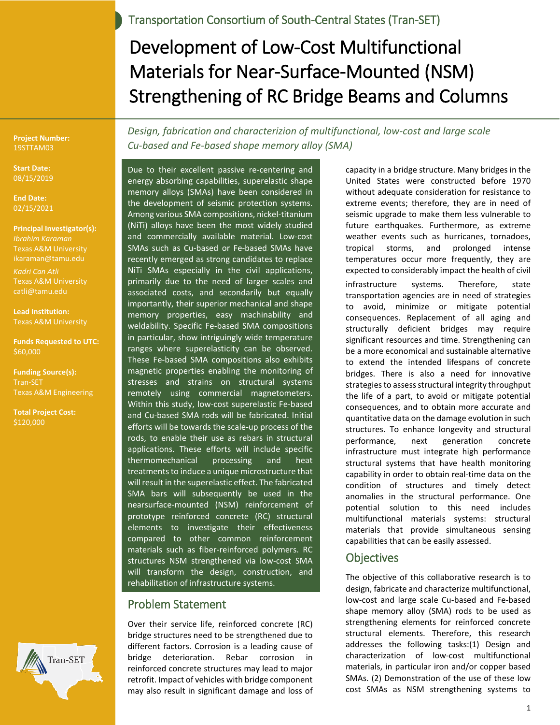Transportation Consortium of South-Central States (Tran-SET)

# Development of Low-Cost Multifunctional Materials for Near-Surface-Mounted (NSM) Strengthening of RC Bridge Beams and Columns

**Project Number:** 19STTAM03

**Start Date:** 08/15/2019

**End Date:**  02/15/2021

**Principal Investigator(s):** *Ibrahim Karaman* Texas A&M University ikaraman@tamu.edu *Kadri Can Atli* Texas A&M University catli@tamu.edu

**Lead Institution:** Texas A&M University

**Funds Requested to UTC:**  $$60,000$ 

**Funding Source(s):** Tran-SET Texas A&M Engineering

**Total Project Cost:** \$120,000



*Design, fabrication and characterizion of multifunctional, low-cost and large scale Cu-based and Fe-based shape memory alloy (SMA)* 

Due to their excellent passive re-centering and energy absorbing capabilities, superelastic shape memory alloys (SMAs) have been considered in the development of seismic protection systems. Among various SMA compositions, nickel-titanium (NiTi) alloys have been the most widely studied and commercially available material. Low-cost SMAs such as Cu-based or Fe-based SMAs have recently emerged as strong candidates to replace NiTi SMAs especially in the civil applications, primarily due to the need of larger scales and associated costs, and secondarily but equally importantly, their superior mechanical and shape memory properties, easy machinability and weldability. Specific Fe-based SMA compositions in particular, show intriguingly wide temperature ranges where superelasticity can be observed. These Fe-based SMA compositions also exhibits magnetic properties enabling the monitoring of stresses and strains on structural systems remotely using commercial magnetometers. Within this study, low-cost superelastic Fe-based and Cu-based SMA rods will be fabricated. Initial efforts will be towards the scale-up process of the rods, to enable their use as rebars in structural applications. These efforts will include specific thermomechanical processing and heat treatments to induce a unique microstructure that will result in the superelastic effect. The fabricated SMA bars will subsequently be used in the nearsurface-mounted (NSM) reinforcement of prototype reinforced concrete (RC) structural elements to investigate their effectiveness compared to other common reinforcement materials such as fiber-reinforced polymers. RC structures NSM strengthened via low-cost SMA will transform the design, construction, and rehabilitation of infrastructure systems.

## Problem Statement

Over their service life, reinforced concrete (RC) bridge structures need to be strengthened due to different factors. Corrosion is a leading cause of bridge deterioration. Rebar corrosion in reinforced concrete structures may lead to major retrofit. Impact of vehicles with bridge component may also result in significant damage and loss of capacity in a bridge structure. Many bridges in the United States were constructed before 1970 without adequate consideration for resistance to extreme events; therefore, they are in need of seismic upgrade to make them less vulnerable to future earthquakes. Furthermore, as extreme weather events such as hurricanes, tornadoes, tropical storms, and prolonged intense temperatures occur more frequently, they are expected to considerably impact the health of civil infrastructure systems. Therefore, state transportation agencies are in need of strategies to avoid, minimize or mitigate potential consequences. Replacement of all aging and structurally deficient bridges may require significant resources and time. Strengthening can be a more economical and sustainable alternative to extend the intended lifespans of concrete bridges. There is also a need for innovative strategies to assess structural integrity throughput the life of a part, to avoid or mitigate potential consequences, and to obtain more accurate and quantitative data on the damage evolution in such structures. To enhance longevity and structural performance, next generation concrete infrastructure must integrate high performance structural systems that have health monitoring capability in order to obtain real-time data on the condition of structures and timely detect anomalies in the structural performance. One potential solution to this need includes multifunctional materials systems: structural materials that provide simultaneous sensing capabilities that can be easily assessed.

#### **Objectives**

The objective of this collaborative research is to design, fabricate and characterize multifunctional, low-cost and large scale Cu-based and Fe-based shape memory alloy (SMA) rods to be used as strengthening elements for reinforced concrete structural elements. Therefore, this research addresses the following tasks:(1) Design and characterization of low-cost multifunctional materials, in particular iron and/or copper based SMAs. (2) Demonstration of the use of these low cost SMAs as NSM strengthening systems to